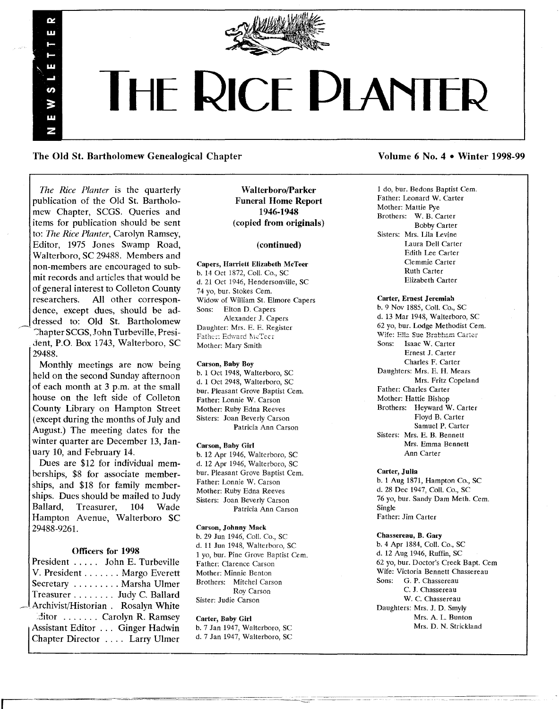

# THE RICE **DIANTER**

The Old St. Bartholomew Genealogical Chapter **Volume 6 No.4** • Winter 1998-99

*The Rice Planter* is the quarterly publication of the Old St. Bartholomew Chapter, SCGS. Queries and items for publication should be sent to: *The Rice Planter,* Carolyn Ramsey, Editor, 1975 Jones Swamp Road, Walterboro, SC 29488. Members and non-members are encouraged to submit records and articles that would be of general interest to Colleton County researchers. All other correspondence, except dues, should be addressed to: Old St. Bartholomew Chapter SCGS, John Turbeville, President, P.O. Box 1743, Walterboro, SC 29488.

 $\tilde{\phantom{a}}$ шŢ

'n ≳ (m N

Monthly meetings are now being held on the second Sunday afternoon of each month at 3 p.m. at the small house on the left side of Colleton County Library on Hampton Street (except during the months of July and August.) The meeting dates for the winter quarter are December 13, January 10, and February 14.

Dues are \$12 for individual memberships, \$8 for associate memberships, and \$18 for family memberships. Dues should be mailed to Judy<br>Ballard, Treasurer, 104 Wade Treasurer, Hampton Avenue, Walterboro SC 29488-9261.

#### Officers for 1998

President . . . . . John E. Turbeville V. President . . . . . . . Margo Everett Secretary ........ Marsha Ulmer Treasurer . . . . . . . . Judy C. Ballard Archivist/Historian. Rosalyn White ditor ....... Carolyn R. Ramsey<br>Assistant Editor ... Ginger Hadwin Chapter Director .... Larry Ulmer

Walterboro/Parker Funeral Home Report 1946-1948 (copied from originals)

## (continued)

Capers, Harriett Elizabeth McTeer b. 14 Oct 1872, Coil. Co., SC d. 21 Oct 1946, Hendersonville, SC 74 yo, bur. Stokes Cem. Widow of William St. Elmore Capers Sons: Elton D. Capers Alexander J. Capers Daughter: Mrs. E. E. Register Father: Edward McTeer Mother: Mary Smith

#### Carson, Baby Boy

b. 1 Oct 1948, Walterboro, SC d. 1 Oct 2948, Walterboro, SC bur. Pleasant Grove Baptist Cem. Father: Lonnie W. Carson Mother: Ruby Edna Reeves Sisters: Joan Beverly Carson Patricia Ann Carson

#### Carson, Baby Girl

b. 12 Apr 1946, Walterboro, SC d. 12 Apr 1946, Walterboro, SC bur. Pleasant Grove Baptist Cem. Father: Lonnie W. Carson Mother: Ruby Edna Reeves Sisters: Joan Beverly Carson Patricia Ann Carson

#### Carson, Johnny Mack

b. 29 Jun 1946, Cd!. Co., SC d. 11 Jun 1948, Walterboro, SC 1 yo, bur. Pine Grove Baptist Cern. Father: Clarence Carson Mother: Minnie Benton Brothers: Mitchel Carson Roy Carson Sister: Judie Carson

Carter, Baby Girl b. 7 Jan 1947, Walterboro, SC d. 7 Jan 1947, Walterboro, SC

1 do, bur. Bedons Baptist Cern. Father: Leonard W. Carter Mother: Mattie Pye Brothers: W. B. Carter Bobby Carter Sisters: Mrs. Lila Levine Laura Dell Carter Edith Lee Carter Clemmie Carter Ruth Carter Elizabeth Carter

#### Carter, Ernest Jeremiah

b. 9 Nov 1885, ColI. Co., SC d. 13 Mar 1948, Walterboro, SC 62 yo, bur. Lodge Methodist Cern. Wife: Ella Sue Brabham Carter Sons: Isaac W. Carter Ernest J. Carter Charles F. Carter Daughters: Mrs. E. H. Mears Mrs. Fritz Copeland Father: Charles Carter Mother: Hattie Bishop Brothers: Heyward W. Carter Floyd B. Carter Samuel P. Carter Sisters: Mrs. E. B. Bennett Mrs. Emma Bennett Ann Carter

## Carter, Julia

b. 1 Aug 1871, Hampton Co., SC d. 28 Dec 1947, Coil. Co., SC 76 yo, bur. Sandy Dam Meth. Cem. Single Father: Jim Carter

Chassereau, B. Gary b. 4 Apr 1884, Coil. Co., SC d. 12 Aug 1946, Ruffin, SC 62 yo, bur. Doctor's Creek Bapt. Cern Wife: Victoria Bennett Chassereau Sons: G. P. Chassereau C. J. Chassereau W. C. Chassereau Daughters: Mrs. J. D. Smyly Mrs. A. L. Bunton Mrs. D. N. Strickland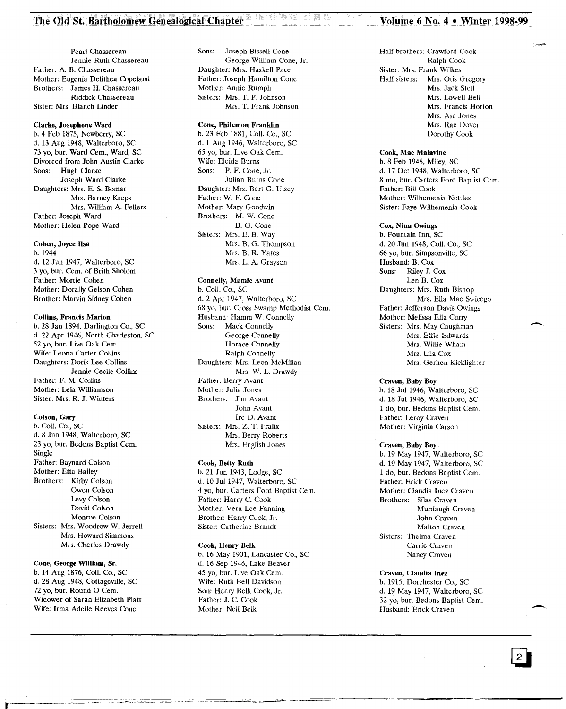#### The Old St. Bartholomew Genealogical Chapter **Volume 6 No.4. Winter 1998-99**

Pearl Chassereau Jennie Ruth Chassereau Father: A. B. Chassereau Mother: Eugenia Delithea Copeland Brothers: James H. Chassereau Riddick Chassereau Sister: Mrs. Blanch Linder

#### Clarke, Josephene Ward

b. 4 Feb 1875, Newberry, SC d. 13 Aug 1948, Walterboro, SC 73 yo, bur. Ward Cem., Ward, SC Divorced from John Austin Clarke Sons: Hugh Clarke Joseph Ward Clarke Daughters: Mrs. E. S. Bomar Mrs. Barney Kreps Mrs. William A. Fellers Father: Joseph Ward Mother: Helen Pope Ward

#### Cohen, Joyce I1sa

b. 1944 d. 12 Jun 1947, Walterboro, SC 3 yo, bur. Cern. of Brith Sholom Father: Mortie Cohen Mother: Dorally Gelson Cohen Brother: Marvin Sidney Cohen

#### Collins, Francis Marion

b. 28 Jan 1894, Darlington Co., SC d. 22 Apr 1946, North Charleston, SC 52 yo, bur. Live Oak Cem. Wife: Leona Carter Collins Daughters: Doris Lee Collins Jennie Cecile Collins Father: F. M. Collins Mother: Lela Williamson Sister: Mrs. R. J. Winters

#### Colson, Gary

b. Coli. Co., SC d. 8 Jun 1948, Walterboro, SC 23 yo, bur. Bedons Baptist Cem. Single Father: Baynard Colson Mother: Etta Bailey Brothers: Kirby Colson Owen Colson Levy Colson David Colson Monroe Colson Sisters: Mrs. Woodrow W. Jerrell Mrs. Howard Simmons Mrs. Charles Drawdy

#### Cone, George William, Sr.

b. 14 Aug 1876, Coli. Co., SC d. 28 Aug 1948, Cottageville, SC 72 yo, bur. Round O Cem. Widower of Sarah Elizabeth Platt Wife: Irma Adelle Reeves Cone

Sons: Joseph Bissell Cone George William Cone, Jr. Daughter: Mrs. Haskell Pace Father: Joseph Hamilton Cone Mother: Annie Rumph Sisters: Mrs. T. P. Johnson Mrs. T. Frank Johnson

#### Cone, Philemon Franklin

b. 23 Feb 1881, Coli. Co., SC d. 1 Aug 1946, Walterboro, SC 65 yo, bur. Live Oak Cern. Wife: Eleida Burns Sons: P. F. Cone, Jr. Julian Burns Cone Daughter: Mrs. Bert G. Utsey Father: W. F. Cone Mother: Mary Goodwin Brothers: M. W. Cone B. G. Cone Sisters: Mrs. E. B. Way Mrs. B. G. Thompson Mrs. B. R. Yates Mrs. L. A. Grayson

#### Connelly, Mamie Avant

b. Coli. Co., SC d. 2 Apr 1947, Walterboro, SC 68 yo, bur. Cross Swamp Methodist Cern. Husband: Hamm W. Connelly Sons: Mack Connelly George Connelly Horace Connelly Ralph Connelly Daughters: Mrs. Leon McMillan Mrs. W. L. Drawdy Father: Berry Avant Mother: Julia Jones Brothers: Jim Avant John Avant Ire D. Avant Sisters: Mrs. Z. T. Fralix Mrs. Berry Roberts Mrs. English Jones

#### Cook, Betty Ruth

b. 21 Jun 1943, Lodge, SC d. 10 Jul 1947, Walterboro, SC 4 yo, bur. Carters Ford Baptist Cern. Father: Harry C. Cook Mother: Vera Lee Fanning Brother: Harry Cook, Jr. Sister: Catherine Brandt

#### Cook, Henry Belk

b. 16 May 1901, Lancaster Co., SC d. 16 Sep 1946, Lake Beaver 45 yo, bur. Live Oak Cem. Wife: Ruth Bell Davidson Son: Henry Belk Cook, Jr. Father: J. C. Cook Mother: Nell Belk

==~-'='==:::::...''-'~' ==:::;.===========--==

Half brothers: Crawford Cook Ralph Cook Sister: Mrs. Frank Wilkes Half sisters: Mrs. Otis Gregory Mrs. Jack Stell Mrs. Lowell Bell Mrs. Francis Horton Mrs. Asa Jones Mrs. Rae Dover Dorothy Cook

#### Cook, Mae Malavine

b. 8 Feb 1948, Miley, SC d. 17 Oct 1948, Walterboro, SC 8 mo, bur. Carters Ford Baptist Cem. Father: Bill Cook Mother: Wilhemenia Nettles Sister: Faye Wilhemenia Cook

#### Cox, Nina Owings

b. Fountain Inn, SC d. 20 Jun 1948, Coli. Co., SC 66 yo, bur. Simpsonville, SC Husband: B. Cox Sons: Riley J. Cox Len B. Cox Daughters: Mrs. Ruth Bishop Mrs. Ella Mae Swicego Father: Jefferson Davis Owings Mother: Melissa Ella Curry Sisters: Mrs. May Caughman Mrs. Effie Edwards Mrs. Willie Wham Mrs. Lila Cox Mrs. Gerhen Kicklighter

#### Craven, Baby Boy

b. 18 Jul 1946, Walterboro, SC d. 18 Jul 1946, Walterboro, SC 1 do, bur. Bedons Baptist Cern. Father: Leroy Craven Mother: Virginia Carson

#### Craven, Baby Boy

b. 19 May 1947, Walterboro, SC d. 19 May 1947, Walterboro, SC 1 do, bur. Bedons Baptist Cem. Father: Erick Craven Mother: Claudia Inez Craven Brothers: Silas Craven Murdaugh Craven John Craven Malton Craven Sisters: Thelma Craven Carrie Craven Nancy Craven

#### Craven, Claudia Inez

b. 1915, Dorchester Co., SC d. 19 May 1947, Walterboro, SC<br>32 yo, bur. Bedons Baptist Cem.<br>Husband: Erick Craven 32 yo, bur. Bedons Baptist Cem.<br>Husband: Erick Craven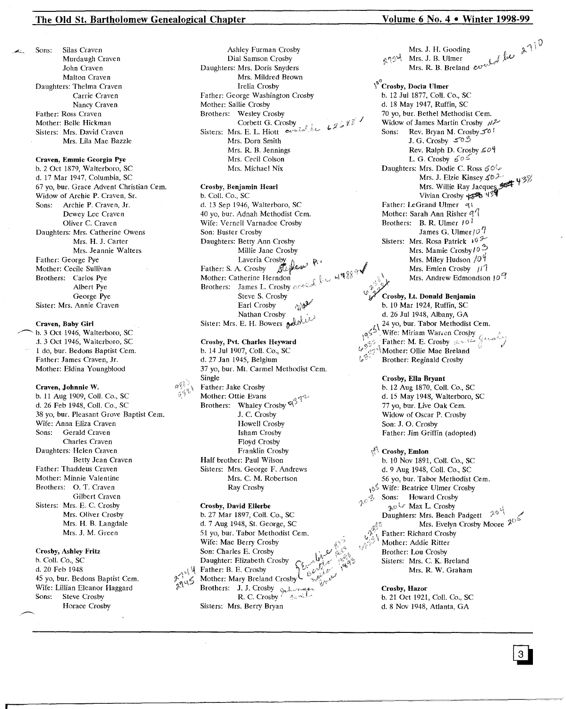## The Old St. Bartholomew Genealogical Chapter Volume 6 No. 4 Winter 1998-99

Sons: Silas Craven Murdaugh Craven John Craven Malton Craven Daughters: Thelma Craven Carrie Craven Nancy Craven Father: Ross Craven Mother: Belle Hickman Sisters: Mrs. David Craven Mrs. Lila Mae Bazzle

#### Craven, Emmie Georgia Pye

b. 2 Oct 1879, Walterboro, SC d. 17 Mar 1947, Columbia, SC 67 yo, bur. Grace Advent Christian Cern. Widow of Archie P. Craven, Sr. Sons: Archie P. Craven, Jr. Dewey Lee Craven Oliver C. Craven Daughters: Mrs. Catherine Owens Mrs. H. J. Carter Mrs. Jeannie Walters Father: George Pye Mother: Cecile Sullivan Brothers: Carlos Pye Albert Pye George Pye Sister: Mrs. Annie Craven

#### Craven, Baby Girl

b. 3 Oct 1946, Walterboro, SC j.3 Oct 1946, Walterboro, SC 1 do, bur. Bedons Baptist Cern. Father: James Craven, Jr. Mother: Eldina Youngblood

#### Craven, Johnnie W.

b. 11 Aug 1909, ColI. Co., SC d. 26 Feb 1948, ColI. Co., SC 38 vo, bur. Pleasant Grove Baptist Cem. Wife: Anna Eliza Craven Sons: Gerald Craven Charles Craven Daughters: Helen Craven Betty Jean Craven Father: Thaddeus Craven Mother: Minnie Valentine Brothers: O. T. Craven Gilbert Craven Sisters: Mrs. E. C. Crosby Mrs. Oliver Crosby Mrs. H. B. Langdale Mrs. J. M. Green

## Crosby, Ashley Fritz

b. ColI. Co., SC d. 20 Feb 1948 45 yo, bur. Bedons Baptist Cem. Wife: Lillian Eleanor Haggard<br>Sons: Steve Crosby Steve Crosby Horace Crosby

 $426887$ Ashley Furman Crosby Dial Samson Crosby Daughters: Mrs. Doris Snyders Mrs. Mildred Brown Irelia Crosby Father: George Washington Crosby Mother: Sallie Crosby Brothers: Wesley Crosby Corbett G. Crosby Sisters: Mrs. E. L. Hiott  $exch^{\frac{1}{2}}$ Mrs. Dora Smith Mrs. R. B. Jennings Mrs. Cecil Colson Mrs. Michael Nix

#### Crosby, Benjamin Hearl

b. ColI. Co., SC d. 13 Sep 1946, Walterboro, SC 40 yo, bur. Adnah Methodist Cem. Wife: Vernell Varnadoe Crosby Son: Buster Crosby Daughters: Betty Ann Crosby Millie Jane Crosby<br>Laveria Crosby Father: S. A. Crosby  $\overrightarrow{\mathcal{M}}$ Mother: Catherine Herndon Brothers: James L. Crosby  $\alpha e^{i\phi}$ Steve S. Crosby Earl Crosby Nathan Crosby Sister: Mrs. E. H. Bowers **Add** 

## Crosby, Pvt. Charles Heyward

b. 14 Jul 1907, Call. Co., SC d. 27 Jan 1945, Belgium 37 yo, bur. Mt. Carmel Methodist Cem. Single Father: Jake Crosby Mother: Ottie Evans Brothers: Whaley Crosby  $\mathfrak{A}^{\beta}$ J. C. Crosby Howell Crosby Isham Crosby Floyd Crosby Franklin Crosby Half brother: Paul Wilson Sisters: Mrs. George F. Andrews Mrs. C. M. Robertson Ray Crosby

#### Crosby, David Ellerbe

b. 27 Mar 1897, Coll. Co., SC d. 7 Aug 1948, St. George, SC 51 yo, bur. Tabor Methodist Cem. Wife: Mae Berry Crosby<br>Son: Charles E. Crosby Daughter: Elizabeth Crosby **Example 2** Father: B. E. Crosby "<br> $\sum_{i=1}^{N} \sum_{i=1}^{N}$  Mother: Mary Breland Crosby Brothers:  $J, J, Crosby$  only R. C. Crosby Sisters: Mrs. Berry Bryan

Mrs. J. H. Gooding<br>Mrs. J. B. Ulmer<br>Mrs. R. B. Breland *condel for* 2<sup>110</sup>  $9994$ 's<sup>o</sup>Crosby, Docia Ulmer b. 12 Jul 1877, Coll. Co., SC d. 18 May 1947, Ruffin, SC 70 yo, bur. Bethel Methodist Cem. Widow of James Martin Crosby  $\frac{1}{2}$ <br>Sons: Rev. Bryan M. Crosby 50<sup>!</sup> Rev. Bryan M. Crosby 50<sup>!</sup> J. G. Crosby  $\leq 0.5$ Rev. Ralph D. Crosby  $\leq \circ 4$ L. G. Crosby  $\frac{60.5}{50.5}$ Daughters: Mrs. Dodie C. Ross  $\mathcal{G}^{0\mathcal{L}}$ <br>Mrs. J. Elzie Kinsey  $\mathcal{L}^{0\mathcal{L}^{0}}$ Mrs. J. Elzie Kinsey  $50\%$   $43\%$ Vivian Crosby  $\sqrt{3}$  43 Father: LeGrand Ulmer 91 ~other: Sarah Ann Risher *q'1* Brothers: B. R. Ulmer  $10<sup>1</sup>$ James G. Ulmer/07 Sisters: Mrs. Rosa Patrick 10<sup>2</sup> Mrs. Mamie Crosby  $10^{25}$ Mrs, Miley Hudson  $/0\%$  $4\frac{18889}{9}$  and  $\frac{1}{2}$  and  $\frac{1}{2}$  and  $\frac{1}{2}$  and  $\frac{1}{2}$ Mrs. Andrew Edmondson 10<sup>9</sup> Crosby, Lt. Donald Benjamin b. 10 Mar 1924, Ruffin, SC d. 26 Jul 1948, Albany, GA  $\bigwedge_{i=1}^{n}$   $\mathbb{Z}^{+}$  yo, but. Tabor methodist Cent.  $10^{35}$  . Whe: Miriam Warren Crospy Father: M. E. Crosby Asset Mother: Ollie Mae Breland Brother: Reginald Crosby

# Crosby, Ella Bryant

b. 12 Aug 1870, Coil. Co., SC d. 15 May 1948, Walterboro, SC 77 yo, bur. Live Oak Cern. Widow of Oscar P. Crosby Son: J. O. Crosby Father: Jim Griffin (adopted)

**Crosby, Emlon** b. 10 Nov 1891, Coll. Co., SC d. 9 Aug 1948, Coli. Co., SC 56 yo, bur. Tabor Methodist Cem.  $\sqrt{6}$  Wife: Beatrice Ulmer Crosby  $\lambda^{\mathcal{O}^{\frac{1}{\mathcal{O}}}}$ Sons: Howard Crosby  $30^{\circ}$  Max L. Crosby Daughters: Mrs. Beach Padgett  $\mathbb{R}^{\mathbb{C}^{\times}}$ Mrs. Evelyn Crosby Moore 20<sup>5</sup> Father: Richard Crosby Mother: Addie Ritter Brother: Lou Crosby Sisters: Mrs. C. K. Breland Mrs. R. W. Graham

#### Crosby, Hazor b. 21 Oct 1921, Coll. Co., SC

d. 8 Nov 1948, Atlanta, GA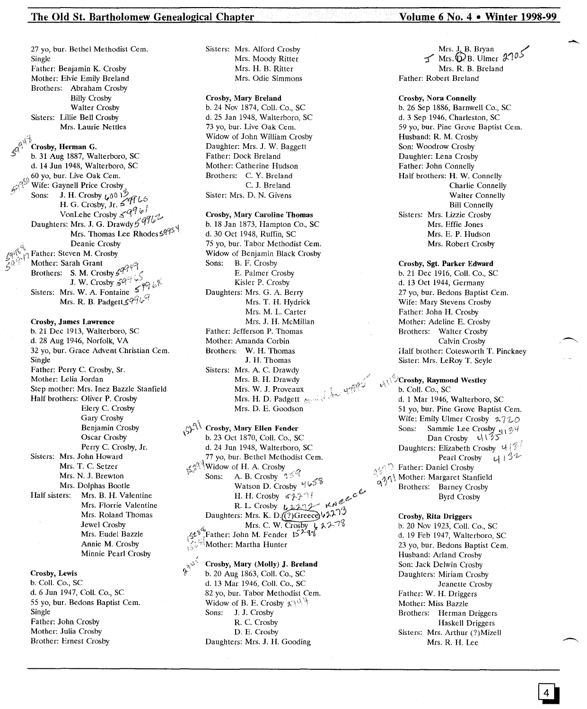#### The Old St. Bartholomew Genealogical Chapter Volume 6 **No.4** • Winter 1998-99

27 yo, bur. Bethel Methodist Cem. Single Father: Benjamin K. Crosby Mother: Elvie Emily Breland Brothers: Abraham Crosby Billy Crosby Walter Crosby Sisters: Lillie Bell Crosby Mrs. Laurie Nettles

<sup>\*</sup>Crosby, Herman G. b. 31 Aug 1887, Walterboro, SC d. 14 Jun 1948, Walterboro, SC 60 yo, bur. Live Oak Cern. Wife: Gaynell Price Crosby<br>Sons: J. H. Crosby  $\iota_{\ell}$ 00 H. G. Crosby, Jr.  $\leq \frac{q_1}{3}$ VonLehe Crosby  $\leq qq b$ Daughters: Mrs. J. G. Drawdy  $6$   $97\frac{1}{6}$  $Mrs$ . Thomas Lee Rhodes  $5^{975}$ <sup>V</sup>

•. j

Deanie Crosby<br>Father: Steven M. Crosby Mother: Sarah Grant **Brothers:** S. M. Crosby  $f^{qq}$ J. W. Crosby 'i0 Sisters: Mrs. W. A. Fontaine *S:,.:* Mrs. R. B. Padgett $\mathcal{G}^{Q} \mathcal{U}^{Q}$ 

#### Crosby, James Lawrence

b. 21 Dec 1913, Walterboro, SC d. 28 Aug 1946, Norfolk, VA 32 yo, bur. Grace Advent Christian Cern. Single Father: Perry C. Crosby, Sr. Mother: Lelia Jordan Step mother: Mrs. Inez Bazzle Stanfield Half brothers: Oliver P. Crosby Elery C. Crosby Gary Crosby Benjamin Crosby Oscar Crosby Perry C. Crosby, Jr. Sisters: Mrs. John Howard Mrs. T. C. Setzer Mrs. N. J. Brewton Mrs. Dolphas Bootle Half sisters: Mrs. B. H. Valentine Mrs. Florrie Valentine Mrs. Roland Thomas Jewel Crosby Mrs. Eudel Bazzle Annie M. Crosby Minnie Pearl Crosby

Crosby, Lewis b. Coll. Co., SC d. 6 Jun 1947, ColI. Co., SC

55 yo, bur. Bedons Baptist Cem. Single Father: John Crosby Mother: Julia Crosby Brother: Ernest Crosby

Sisters: Mrs. Alford Crosby Mrs. Moody Ritter Mrs. H. B. Ritter Mrs. Odie Simmons

#### Crosby, Mary Breland

b. 24 Nov 1874, Coil. Co., SC d. 25 Jan 1948, Walterboro, SC 73 yo, bur. Live Oak Cern. Widow of John William Crosby Daughter: Mrs. J. W. Baggett Father: Dock Breland Mother: Catherine Hudson Brothers: C. Y. Breland C. J. Breland Sister: Mrs. D. N. Givens

#### Crosby, Mary Caroline Thomas

b. 18 Jan 1873, Hampton Co., SC d. 30 Oct 1948, Ruffin, SC 75 yo, bur. Tabor Methodist Cem. Widow of Benjamin Black Crosby Sons: B. F. Crosby E. Palmer Crosby Kisler P. Crosby Daughters: Mrs. G. A. Berry Mrs. T. H. Hydrick Mrs. M. L. Carter Mrs. J. H. McMillan Father: Jefferson P. Thomas Mother: Amanda Corbin Brothers: W. H. Thomas J. H. Thomas Sisters: Mrs. A. C. Drawdy Mrs. B. H. Drawdy Mrs. W. J. Proveaux Mrs. H. D. Padgett Mrs. D. E. Goodson

 $1/\mathcal{P}^{\mathbb{R} \setminus \mathbb{R}}$  Crosby, Mary Ellen Fender b. 23 Oct 1870, Coll. Co., SC d. 24 Jun 1948, Walterboro, SC 77 yo, bur. Bethel Methodist Cem.  $\frac{1}{2}$  Widow of H. A. Crosby<br>Sons: A. B. Crosby A. B. Crosby  $\gamma \leq \sqrt[2]{\sqrt[2]{\frac{1}{2}}}$ Watson D. Crosby 4658 H. H. Crosby  $\leq$   $k$ <sup>2</sup>  $\leq$   $k$   $\leq$   $\leq$   $\leq$   $\leq$   $\leq$   $\leq$   $\leq$   $\leq$   $\leq$   $\leq$   $\leq$   $\leq$   $\leq$   $\leq$   $\leq$   $\leq$   $\leq$   $\leq$   $\leq$   $\leq$   $\leq$   $\leq$   $\leq$   $\leq$   $\leq$   $\leq$   $\leq$   $\leq$   $\leq$   $\leq$   $\leq$ Daughters: Mrs. K. D. (?)Greece *vi* Mrs. C. W. Crosby **4 22-11**<br>المسجد المسجد المسجد المسجد المسجد المسجد المسجد المسجد المسجد المسجد المسجد المسجد المسجد المسجد المسجد المسجد , :;,iMother: Martha Hunter

Crosby, Mary (Molly) J. Breland b. 20 Aug 1863, Coli. Co., SC d. 13 Mar 1946, Coli. Co., SC 82 yo, bur. Tabor Methodist Cem. Widow of B. E. Crosby  $\chi \psi^{\dagger}$ Sons: J. J. Crosby R. C. Crosby D. E. Crosby Daughters: Mrs. J. H. Gooding

Mrs. J. B. Bryan<br> **T** Mrs. **Q.** B. Ulmer **2**105 Mrs. R. B. Breland Father: Robert Breland

#### Crosby, Nora Connelly

b. 26 Sep 1886, Barnwell Co., SC d. 3 Sep 1946, Charleston, SC 59 yo, bur. Pine Grove Baptist Cem. Husband: R. M. Crosby Son: Woodrow Crosby Daughter: Lena Crosby Father: John Connelly Half brothers: H. W. Connelly Charlie Connelly Walter Connelly Bill Connelly Sisters: Mrs. Lizzie Crosby Mrs. Effie Jones Mrs. E. P. Hudson Mrs. Robert Crosby

#### Crosby, Sgt. Parker Edward

b. 21 Dec 1916, ColI. Co., SC d. 13 Oct 1944, Germany 27 yo, bur. Bedons Baptist Cem. Wife: Mary Stevens Crosby Father: John H. Crosby Mother: Adeline E. Crosby Brothers: Walter Crosby Calvin Crosby Half brother: Cotesworth T. Pinckney Sister: Mrs. LeRoy T. Seyle

 $\mathcal{L}_{\mathcal{N}}^{\otimes}$ Crosby, Raymond Westley b. ColI. Co., SC d. 1 Mar 1946, Walterboro, SC 51 yo, bur. Pine Grove Baptist Cern. Wife: Emily Ulmer Crosby  $2720$ <br>Sons: Sammie Lee Crosby  $\ldots$  $S$ oons. Sammie Lee Cros $\mathcal{Y}$ Dan Crosby  $\sim$  UV 2.2 Daughters: Elizabeth Crosby  $4\frac{1}{2}$ Pearl Crosby  $\cup$  I 3<sup>2</sup>  $\mathbb{R}^n$  Father: Daniel Crosby  $\mathbb{Z}_q^{\{1\}}$  Mother: Margaret Stanfield Brothers: Barney Crosby Byrd Crosby

> Crosby, Rita Driggers b. 20 Nov 1923, Coil. Co., SC d. 19 Feb 1947, Walterboro, SC 23 yo, bur. Bedons Baptist Cem. Husband: Arland Crosby Son: Jack Delwin Crosby Daughters: Miriam Crosby Jeanette Crosby Father: W. H. Driggers Mother: Miss Bazzle Brothers: Herman Driggers Haskell Driggers Sisters: Mrs. Arthur (?)Mizell Mrs. R. H. Lee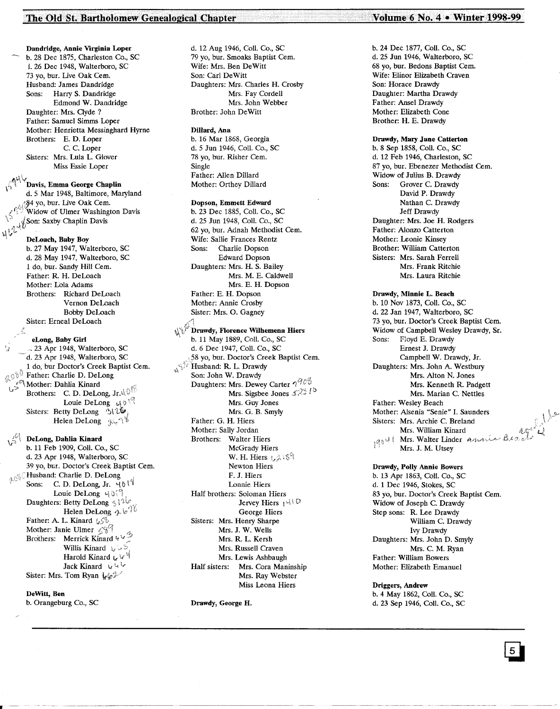## The Old St. Bartholomew Genealogical Chapter (1998-99) 7 Volume 6 No. 4 • Winter 1998-99

Dandridge, Annie Virginia Loper b. 28 Dec 1875, Charleston Co., SC i. 26 Dec 1948, Walterboro, SC 73 yo, bur. Live Oak Cern. Husband: James Dandridge Sons: Harry S. Dandridge Edmond W. Dandridge Daughter: Mrs. Clyde? Father: Samuel Simms Loper Mother: Henrietta Messinghard Hyrne Brothers: E. D. Loper C. C. Loper Sisters: Mrs. Lula L. Glover Miss Essie Loper

 $\mathfrak{p}_i$ \i;;~\VDavis, Emma George Chaplin d. 5 Mar 1948, Baltimore, Maryland<br>§4 yo, bur. Live Oak Cem.  $M_{\rm{max}}^{(94 \text{ yo, but.}$  Live Oak Com. *I'"',,* Widow of Ulmer Washington Davis  $\cdot$ 1 J $\cdot$ <sup>1</sup> $\cdot$ <sup>1</sup> $\cdot$ <sup>1</sup> $\cdot$ <sup>1</sup> $\cdot$ <sup>1</sup> $\cdot$ <sup>1</sup> $\cdot$ <sup>1</sup> $\cdot$ <sup>1</sup> $\cdot$ <sup>1</sup> $\cdot$ <sup>1</sup> $\cdot$ <sup>1</sup> $\cdot$ <sup>1</sup> $\cdot$ <sup>1</sup> $\cdot$ <sup>1</sup> $\cdot$ <sup>1</sup> $\cdot$ <sup>1</sup> $\cdot$ <sup>1</sup> $\cdot$ <sup>1</sup> $\cdot$ <sup>1</sup> $\cdot$ <sup>1</sup> $\cdot$ 

# DeLoach, Baby Boy

 $\,$ 

b. 27 May 1947, Walterboro, SC d. 28 May 1947, Walterboro, SC 1 do, bur. Sandy Hill Cern. Father: R. H. DeLoach Mother: Lola Adams Brothers: Richard DeLoach Vernon DeLoach Bobby DeLoach Sister: Erneal DeLoach

eLong, Baby Girl .23 Apr 1948, Walterboro, SC d. 23 Apr 1948, Walterboro, SC 1 do, bur Doctor's Creek Baptist Cern. **Father: Charlie D. DeLong**  $\sum_{i=1}^{N}$  Mother: Dahlia Kinard Brothers: C. D. DeLong,  $Jr \sim \mathbb{Q}$ Louie DeLong  $\cup_{\mathbb{R}}$ Sisters: Betty DeLong  $\Im$   $\Im$ Helen DeLong  $\mathcal{H}^{\mathcal{A}}$ 

# DeLong, Dahlia Kinard

b. 11 Feb 1909, ColI. Co., SC d. 23 Apr 1948, Walterboro, SC 39 yo, bur. Doctor's Creek Baptist Cern. **i).** Husband: Charlie D. DeLong<br>Sons: C. D. DeLong. Jr. 4 C. D. DeLong, Jr.  $\check{\mathcal{A}}$ 0<sup>1</sub></sup> Louie DeLong  $\forall$  0( $\degree$ ) Daughters: Betty DeLong 3126 Helen DeLong  $\sim$   $\sqrt[3]{6}$ Father: A. L. Kinard  $k\%$ Mother: Janie Ulmer  $\mathbb{Z}^q$ Brothers: Merrick Kinard 4  $\sqrt{2}$ Willis Kinard  $\psi \circ \psi$ Harold Kinard  $\psi$ <sup>4</sup> Jack Kinard  $\psi^{i_0}$ Sister: Mrs. Tom Ryan  $\psi$ 

#### DeWitt, Ben b. Orangeburg Co., SC

d. 12 Aug 1946, ColI. Co., SC 79 yo, bur. Smoaks Baptist Cem. Wife: Mrs. Ben DeWitt Son: Carl De Witt Daughters: Mrs. Charles H. Crosby Mrs. Fay Cordell Mrs. John Webber Brother: John DeWitt

#### Dillard, Ana

b. 16 Mar 1868, Georgia d. 5 Jun 1946, ColI. Co., SC 78 yo, bur. Risher Cem. Single Father: Allen Dillard Mother: Orthey Dillard

#### Dopson, Emmett Edward

b. 23 Dec 1885, ColI. Co., SC d. 25 Jun 1948, ColI. Co., SC 62 vo. bur. Adnah Methodist Cem. Wife: Sallie Frances Rentz Sons: Charlie Dopson Edward Dopson Daughters: Mrs. H. S. Bailey Mrs. M. E. Caldwell Mrs. E. H. Dopson Father: E. H. Dopson Mother: Annie Crosby Sister: Mrs. O. Gagney

#### *l),* '. *Drawdy, Florence Wilhemena Hiers*

,/;,

. b. 11 May 1889, Co!l. Co., SC d. 6 Dec 1947, ColI. Co., SC 58 yo, bur. Doctor's Creek Baptist Cem.  $\mathbb{R}^{\mathbb{Q}^{\mathbb{N}}}$  Husband: R. L. Drawdy Son: John W. Drawdy Daughters: Mrs. Dewey Carter  $\gamma^{\mathcal{G} \mathcal{O} \mathcal{G}}$ Mrs. Sigsbee Jones  $\mathcal{L}^{\mathcal{N}}$ Mrs. Guy Jones Mrs. G. B. Smyly Father: G. H. Hiers Mother: Sally Jordan Brothers: Walter Hiers McGrady Hiers W. H. Hiers  $\sqrt{216}$ Newton Hiers F. J. Hiers Lonnie Hiers Half brothers: Soloman Hiers Jervey Hiers 1410 George Hiers Sisters: Mrs. Henry Sharpe Mrs. J. W. Wells Mrs. R. L. Kersh Mrs. Russell Craven Mrs. Lewis Ashbaugh Half sisters: Mrs. Cora Maninship Mrs. Ray Webster Miss Leona Hiers

Drawdy, George H.

b. 24 Dec 1877, ColI. Co., SC d. 25 Jun 1946, Walterboro, SC 68 yo, bur. Bedons Baptist Cem. Wife: Elinor Elizabeth Craven Son: Horace Drawdy Daughter: Martha Drawdy Father: Ansel Drawdy Mother: Elizabeth Cone Brother: H. E. Drawdy

#### Drawdy, Mary Jane Catterton

b. 8 Sep 1858, ColI. Co., SC d. 12 Feb 1946, Charleston, SC 87 yo, bur. Ebenezer Methodist Cern. Widow of Julius B. Drawdy Sons: Grover C. Drawdy David P. Drawdy Nathan C. Drawdy Jeff Drawdy Daughter: Mrs. Joe H. Rodgers Father: Alonzo Catterton Mother: Leonie Kinsey Brother: William Catterton Sisters: Mrs. Sarah Ferrell Mrs. Frank Ritchie Mrs. Laura Ritchie

#### Drawdy, Minnie L. Beach

b. 10 Nov 1873, ColI. Co., SC d. 22 Jan 1947, Walterboro, SC 73 yo, bur. Doctor's Creek Baptist Cern. Widow of Campbell Wesley Drawdy, Sr. Sons: Fioyd E. Drawdy Ernest J. Drawdy Campbell W. Drawdy, Jr. Daughters: Mrs. John A. Westbury Mrs. Alton N. Jones Mrs. Kenneth R. Padgett Mrs. Marian C. Nettles Father: Wesley Beach Mother: Alsenia "Senie" 1. Saunders Sisters: Mrs. Archie C. Breland Mrs. William Kinard 1904 | Mrs. Walter Linder American Mrs. J. M. Utsey

#### Drawdy, Polly Annie Bowers

b. 13 Apr 1863, ColI. Co., SC d. 1 Dec 1946, Stokes, SC 83 yo, bur. Doctor's Creek Baptist Cem. Widow of Joseph C. Drawdy Step sons: R. Lee Drawdy William C. Drawdy Ivy Drawdy Daughters: Mrs. John D. Smyly Mrs. C. M. Ryan Father: William Bowers Mother: Elizabeth Emanuel

#### Driggers, Andrew

b. 4 May 1862, Coil. Co., SC d. 23 Sep 1946, ColI. Co., SC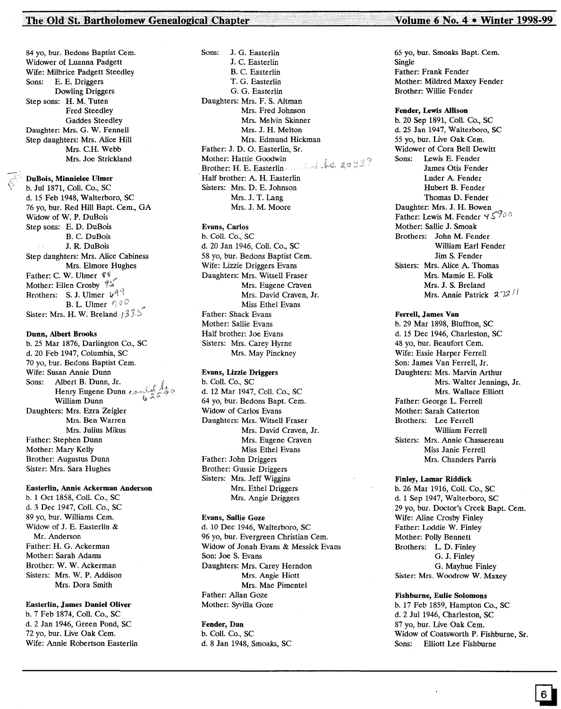## The Old St. Bartholomew Genealogical Chapter

84 yo, bur. Bedons Baptist Cem. Widower of Luanna Padgett Wife: Milbrice Padgett Steedley Sons: E. E. Driggers Dowling Driggers Step sons: H. M. Tuten Fred Steedley Gaddes Steedley Daughter: Mrs. G. W. Fennell Step daughters: Mrs. Alice Hill Mrs. C.H. Webb Mrs. Joe Strickland

## DuBois, Minnielee Ulmer

b. Jul 1871, Coll. Co., SC d. 15 Feb 1948, Walterboro, SC 76 yo, bur. Red Hill Bapt. Cem., GA Widow of W. P. DuBois Step sons: E. D. DuBois B. C. DuBois J. R. DuBois Step daughters: Mrs. Alice Cabiness Mrs. Elmore Hughes Father: C. W. Ulmer  $\frac{85}{36}$ Mother: Ellen Crosby  $7\ge$ Brothers: S. J. Ulmer  $\nu^{qq}$ B. L. Ulmer  $\Diamond \Diamond \Diamond$ Sister: Mrs. H. W. Breland  $1335$ 

#### Dunn, Albert Brooks

b. 25 Mar 1876, Darlington Co., SC d. 20 Feb 1947, Columbia, SC 70 yo, hur. Bedons Baptist Cem. Wife: Susan Annie Dunn Sons: Albert B. Dunn, Jr. Henry Eugene Dunn com William Dunn Daughters: Mrs. Ezra Zeigler Mrs. Ben Warren Mrs. Julius Mikus Father: Stephen Dunn Mother: Mary Kelly Brother: Augustus Dunn Sister: Mrs. Sara Hughes

#### Easterlin, Annie Ackerman Anderson

b. 1 Oct 1858, ColI. Co., SC d. 3 Dec 1947, Coli. Co., SC 89 yo, bur. Williams Cem. Widow of J. E. Easterlin & Mr. Anderson Father: H. G. Ackerman Mother: Sarah Adams Brother: W. W. Ackerman Sisters: Mrs. W. P. Addison Mrs. Dora Smith

Easterlin, James Daniel Oliver b. 7 Feb 1874, Coli. Co., SC d. 2 Jan 1946, Green Pond, SC 72 yo, bur. Live Oak Cem. Wife: Annie Robertson Easterlin Sons: J. G. Easterlin J. C. Easterlin B. C. Easterlin T. G. Easterlin G. G. Easterlin Daughters: Mrs. F. S. Altman Mrs. Fred Johnson Mrs. Melvin Skinner Mrs. J. H. Melton Mrs. Edmund Hickman Father: J. D. O. Easterlin, Sr. Mother: Hattie Goodwin Brother: H. E. Easterlin Albert 2014, 1986 -Half brother: A. H. Easterlin Sisters: Mrs. D. E. Johnson Mrs. J. T. Lang Mrs. J. M. Moore

#### Evans, Carlos

b. ColI. Co., SC d. 20 Jan 1946, ColI. Co., SC 58 yo, bur. Bedons Baptist Cem. Wife: Lizzie Driggers Evans Daughters: Mrs. Witsell Fraser Mrs. Eugene Craven Mrs. David Craven, Jr. Miss Ethel Evans Father: Shack Evans Mother: Sallie Evans Half brother: Joe Evans Sisters: Mrs. Carey Hyrne Mrs. May Pinckney

#### Evans, Lizzie Driggers

b. Coll. Co., SC d. 12 Mar 1947, Coll. Co., SC 64 yo, bur. Bedons Bapt. Cem. Widow of Carlos Evans Daughters: Mrs. Witsell Fraser Mrs. David Craven, Jr. Mrs. Eugene Craven Miss Ethel Evans Father: John Driggers Brother: Gussie Driggers Sisters: Mrs. Jeff Wiggins Mrs. Ethel Driggers Mrs. Angie Driggers

#### Evans, Sallie Goze

d. 10 Dec 1946, Walterboro, SC 96 yo, bur. Evergreen Christian Cem. Widow of Jonah Evans & Messick Evans Son: Joe S. Evans Daughters: Mrs. Carey Herndon Mrs. Angie Hiott Mrs. Mae Pimentel Father: Allan Goze Mother: Syvilla Goze

#### Fender, Dan b. ColI. Co., SC d. 8 Jan 1948, Smoaks, SC

65 yo, bur. Smoaks Bapt. Cem. Single Father: Frank Fender Mother: Mildred Maxey Fender Brother: Willie Fender

#### Fender, Lewis Allison

b. 20 Sep 1891, Coli. Co., SC d. 25 Jan 1947, Walterboro, SC 55 yo, bur. Live Oak Cem. Widower of Cora Bell Dewitt Sons: Lewis E. Fender James Otis Fender Luder A. Fender Hubert B. Fender Thomas D. Fender Daughter: Mrs. J. H. Bowen Father: Lewis M. Fender  $45\%$ Mother: Sallie J. Smoak Brothers: John M. Fender William Earl Fender Jim S. Fender Sisters: Mrs. Alice A. Thomas Mrs. Mamie E. Folk Mrs. J. S. Breland Mrs. Annie Patrick  $272$ <sup>/1</sup>

#### Ferrell, James Van

b. 29 Mar 1898, Bluffton, SC d. 15 Dec 1946, Charleston, SC 48 yo, bur. Beaufort Cem. Wife: Essie Harper Ferrell Son: James Van Ferrell, Jr. Daughters: Mrs. Marvin Arthur Mrs. Walter Jennings, Jr. Mrs. Wallace Elliott Father: George L. Ferrell Mother: Sarah Catterton Brothers: Lee Ferrell William Ferrell Sisters: Mrs. Annie Chassereau Miss Janie Ferrell Mrs. Chanders Parris

Finley, Lamar Riddick b. 26 Mar 1916, Coli. Co., SC d. 1 Sep 1947, Walterboro, SC 29 yo, bur. Doctor's Creek Bapt. Cem. Wife: Aline Crosby Finley Father: Loddie W. Finley Mother: Polly Bennett Brothers: L. D. Finley G. J. Finley G. Mayhue Finley Sister: Mrs. Woodrow W. Maxey

Fishburne, Eulie Solomons b. 17 Feb 1859, Hampton Co., SC d. 2 Jul 1946, Charleston, SC 87 yo, bur. Live Oak Cem. Widow of Coatsworth P. Fishburne, Sr. Sons: Elliott Lee Fishburne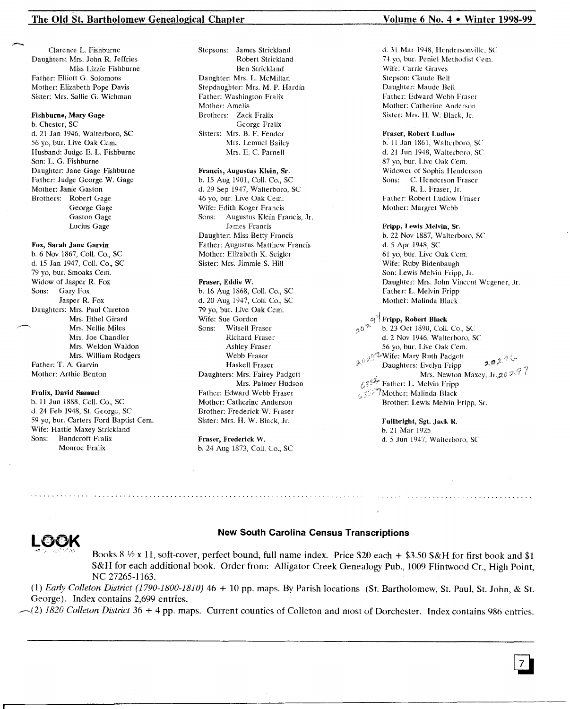Clarence L. Fishburne Daughters: Mrs. John R. Jeffries Miss Lizzie Fishburne Father: Elliott G. Solomons Mother: Elizabeth Pope Davis Sister: Mrs. Sallie G. Wichman

#### Fishburne, Mary Gage

b. Chester, SC d. 21 Jan 1946, Walterboro, SC 56 yo, bur. Live Oak Cern. Husband: Judge E. L. Fishburne Son: L. G. Fishburne Daughter: Jane Gage Fishburne Father: Judge George W. Gage Mother: Janie Gaston Brothers: Robert Gage George Gage Gaston Gage Lucius Gage

#### Fox, Sarah Jane Garvin

b. 6 Nov 1867, Call. Co., SC d. 15 Jan 1947, Call. Co., SC 79 yo, bur. Smoaks Cern. Widow of Jasper R. Fox Sons: Gary Fox Jasper R. Fox Daughters: Mrs. Paul Cureton Mrs. Ethel Girard Mrs. Nellie Miles Mrs. Joe Chandler Mrs. Weldon Waldon Mrs. William Rodgers Father: T. A. Garvin Mother: Arthie Benton

#### Fralix, David Samuel

b. 11 Jun 1888, Coil. Co., SC d. 24 Feb 1948, St. George, SC 59 yo, bur. Carters Ford Baptist Cem. Wife: Hattie Maxey Strickland<br>Sons: Bandcroft Fralix Banderoft Fralix Monroe Fralix

Stepsons: James Strickland Robert Strickland Ben Strickland Daughter: Mrs. L. McMillan Stepdaughter: Mrs. M. P. Hardin Father: Washington Fralix Mother: Amelia Brothers: Zack Fralix George Fralix Sisters: Mrs. B. F. Fender Mrs. Lemuel Bailey Mrs. E. C. Parnell

#### Francis, Augustus Klein, Sr.

b. 15 Aug 1901, Call. Co., SC d. 29 Sep 1947, Walterboro, SC 46 yo, bur. Live Oak Cem. Wife: Edith Koger Francis Sons: Augustus Klein Francis, Jr. James Francis Daughter: Miss Betty Francis Father: Augustus Matthew Francis Mother: Elizabeth K. Seigler Sister: Mrs. Jimmie S. Hill

#### Fraser, Eddie W.

b. 16 Aug 1868, Call. Co., SC d. 20 Aug 1947, Call. Co., SC 79 yo, bur. Live Oak Cern. Wife: Sue Gordon Sons: Witsell Fraser Richard Fraser Ashley Fraser Webb Fraser Haskell Fraser Daughters: Mrs. Fairey Padgett Mrs. Palmer Hudson Father: Edward Webb Fraser Mother: Catherine Anderson Brother: Frederick W. Fraser Sister: Mrs. II. W. Black, Jr.

Fraser, Frederick W. b. 24 Aug 1873, Coli. Co., SC

.......................................................................................................................

d. 31 Mar 1948, Hendersonville, SC 74 yo, bur. Peniel Methodist Cem. Wife: Carrie Graves Stepson: Claude Bell Daughter: Maude Bell Father: Edward Webb Fraser Mother: Catherine Anderson Sister: Mrs. II. W. Black, Jr.

#### Fraser, Robert Ludlow

b.' II Jan 1861, Walterboro, SC d. 21 Jun 1948, Walterboro, SC 87 yo, bur. Live Oak Cern. Widower of Sophia Henderson Sons: C. Henderson Fraser R. L. Fraser, Jr. Father: Robert Ludlow Fraser Mother: Margret Webb

#### Fripp, Lewis Melvin, Sr.

b. 22 Nov 1887, Walterboro, SC d. 5 Apr 1948, SC 61 yo, bur. Live Oak Cern. Wife: Ruby Bidenbaugh Son: Lewis Melvin Fripp, Jr. Daughter: Mrs. John Vincent Wegener, Jr. Father: L. Melvin Fripp Mother: Malinda Black

#### og<sup>\*</sup> Fripp, Robert Black

b. 23 Oct 1890, Coli. Co., SC d. 2 Nov 1946, Walterboro, SC<br>56 yo, bur. Live Oak Cem. 56 yo, bur. Live Oak Cern. mary Ruth Paugett  $\lambda^{\otimes \lambda}$ .  $\mu_{\text{mag}}$  Daughters: Evelyn Fripp "Mrs. Newton Maxey, Jr. 202.  $6.3\%$  Father: L. Melvin Fripp : 35<sup>7</sup>Mother: Malinda Black Brother: Lewis Melvin Fripp, Sr.

> Fullbright, Sgt. Jack R. b. 21 Mar 1925 d. 5 Jun 1947, Walterboro, SC



# **LOOK** New South Carolina Census Transcriptions

Books 8  $\frac{1}{2}$  x 11, soft-cover, perfect bound, full name index. Price \$20 each + \$3.50 S&H for first book and \$1 S&H for each additional book. Order from: Alligator Creek Genealogy Pub., 1009 Flintwood Cr., High Point, NC 27265-1163.

(1) *Early Colleton District (1790-1800-1810)* 46 + 10 pp. maps. By Parish locations (St. Bartholomew, St. Paul, St. John, & St. George). Index contains 2,699 entries.

~2) *1820 Colleton District* 36 + 4 pp. maps. Current counties of Colleton and most of Dorchester. Index contains 986 entries.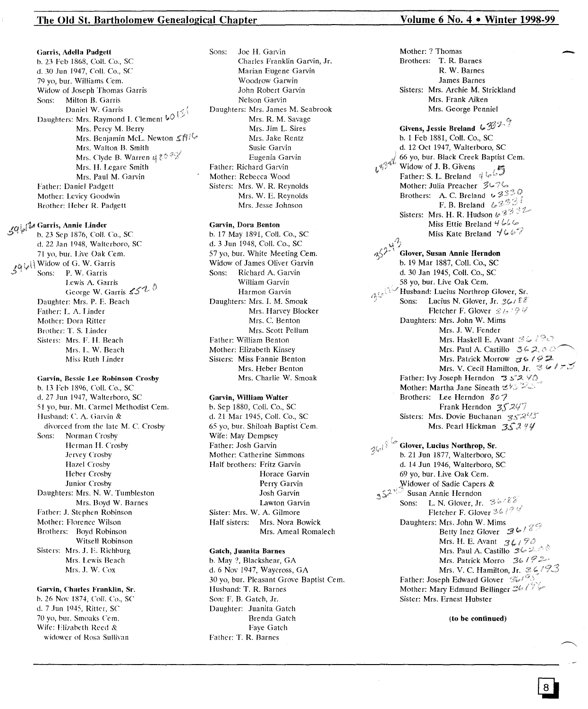#### The Old St. Bartholomew Genealogical Chapter Volume 6 No. 4 • Winter 1998-99

Garris, Adelia Padgett b. 23 Feb 1868, Call. Co., SC d. 30 Jun 1947, Call. Co., SC 79 vo, bur. Williams Cem. Widow of Joseph Thomas Garris Sons: Milton B. Garris Daniel W. Garris **(1988)** Daughters: Mrs. Raymond I. Clement  $\forall \forall$ . Mrs. Percy M. Berry Mrs. Benjamin McL. Newton  $\mathcal{L}^{\text{max}}$ Mrs. Walton B. Smith Mrs. Clyde B. Warren 480 98 Mrs. II. Legare Smith Mrs. Paul M. Garvin Father: Daniel Padgett Mother: Levicy Goodwin Brother: IIeber R. Padgett

# Garris, Annie Linder

b. 23 Sep 1876, Call. Co., SC d. 22 Jan 1948, Walterboro, SC 71 yo, bur. Live Oak Cem.  $\{ \phi \}$  Widow of G. W. Garris Sons: P. W. Garris Lewis A. Garris<br>George W. Garris *≤5* <sup>2, 0</sup> Daughter: Mrs. P. E. Beach Father: L. A. Linder Mother: Dora Ritter Brother: T. S. Linder Sisters: Mrs. F. H. Beach Mrs. L. W. Beach Miss Ruth Linder

#### Garvin, Bessie Lee Robinson Crosby

b. 13 Feb 1896, Call. Co., SC d. 27 Jun 1947, Walterboro, SC 51 vo, bur. Mt. Carmel Methodist Cem. Husband: C. A. Garvin & divorced from the late M. C. Crosby<br>Sons: Norman Crosby Norman Crosby Herman II. Crosby Jervey Crosby Hazel Crosby IIeber Crosby Junior Crosby Daughters: Mrs. N. W. Tumbleston Mrs. Boyd W. Barnes Father: J. Stephen Robinson Mother: Florence Wilson Brothers: Boyd Robinson Witsell Robinson Sisters: Mrs. J. E. Richburg Mrs. Lewis Beach Mrs. J. W. Cox

#### Garvin, Charles Franklin, Sr.

b. 26 NO\" 1874, Coil. Co., SC d. 7 Jun 1l)4S, Ritter, *SC* 70 yo, bur. Smoaks *Cem.* Wife: Elizabeth Reed & widower of Rosa Sullivan

Sons: Joe H. Garvin Charles Franklin Garvin, Jr. Marian Eugene Garvin Woodrow Garwin John Robert Garvin Nelson Garvin Daughters: Mrs. James M. Seabrook Mrs. R. M. Savage Mrs. Jim L. Sires Mrs. Jake Rentz Susie Garvin Eugenia Garvin Father: Richard Garvin Mother: Rebecca Wood Sisters: Mrs. W. R. Reynolds Mrs. W. E. Reynolds Mrs. Jesse Johnson

#### Garvin, Dora Benton

b. 17 May 1891, Coil. Co., SC d. 3 Jun 1948, Coil. Co., SC 57 vo, bur. White Meeting Cem. Widow of James Oliver Garvin Sons: Richard A. Garvin William Garvin Harmon Garvin Daughters: Mrs. I. M. Smoak Mrs. Harvey Blocker Mrs. C. Benton Mrs. Scott Pellum Father: William Benton Mother: Elizabeth Kinsey Sisters: Miss Fannie Benton Mrs. Heber Benton Mrs. Charlie W. Smoak

#### Garvin, William Walter

b. Sep 1880, Coil. Co., SC d. 21 Mar 1945, CoIl. Co., SC 65 yo, bur. Shiloah Baptist Cem. Wife: May Dempsey Father: Josh Garvin Mother: Catherine Simmons Half brothers: Fritz Garvin Horace Garvin Perry Garvin Josh Garvin Lawton Garvin Sister: Mrs. W. A. Gilmore Half sisters: Mrs. Nora Bowick Mrs. Ameal Romalech

#### Gatch, Juanita Barnes

b. May?, Blackshear, GA d.6 Nov 1947, Waycross, GA 30 yo, bur. Pleasant Grove Baptist Cern. Husband: T. R. Barnes Son: F. B. Gatch, Jr. Daughter: Juanita Gatch Brenda Gatch Faye Gatch Father: T. R. Barnes

Mother: ? Thomas Brothers: T. R. Barnes R. W. Barnes James Barnes Sisters: Mrs. Archie M. Strickland Mrs. Frank Aiken Mrs. George Penniel Givens, Jessie Breland  $\mathcal{CH}^{3,3}$ b. 1 Feb 1881, Call. Co., SC d. 12 Oct 1947, Walterboro, SC 66 yo, bur. Black Creek Baptist Cern.  $t^{i,j}$ Widow of **J**. B. Givens Father: S. L. Breland  $\# \{\phi\}$ Mother: Julia Preacher 3676 Brothers: A. C. Breland  $\overline{u}$   $\overline{3}$   $\overline{3}$   $\overline{9}$ F. B. Breland  $\&\mathcal{D}^{\mathcal{G}}\mathcal{G}^{\frac{1}{2}}$ Sisters: Mrs. H. R. Hudson  $\omega$ <sup>333</sup> Miss Ettie Breland  $4/66$ Miss Kate Breland  $\sqrt{66}$ Glover, Susan Annie Herndon b. 19 Mar 1887, Coli. Co., SC d. 30 Jan 1945, Coli. Co., SC 58 yo, bur. Live Oak Cern. Husband: Lucius Northrop Glover, Sr. Sons: Lucius N. Glover, Jr.  $\mathcal{Z}\mathcal{L}\wr\mathcal{E}\mathcal{E}$ Fletcher F. Glover  $\mathscr{D} \otimes \mathscr{D} \mathscr{D}$ Daughters: Mrs. John W. Mims Mrs. J. W. Fender Mrs. Haskell E. Avant  $\mathscr{B}\mathscr{L} \stackrel{\sim}{\leftarrow} \mathscr{P} \mathscr{L}$ Mrs. Paul A. Castillo  $.562.00$ Mrs. Patrick Morrow  $\mathcal{A} \otimes \mathcal{A} \otimes \mathcal{A}$ Mrs. V. Cecil Hamilton, Jr.  $\mathscr{B} \cong \mathscr{B}$ Father: Ivy Joseph Herndon  $352\sqrt{2}$ Mother: Martha Jane Sineath # \$ 2000 Brothers: Lee Herndon *80* '7 Frank Herndon 35267 Sisters: Mrs. Dovie Buchanan 35245 Mrs. Pearl Hickman 35244  $\mathcal{G}\backslash\mathbb{G}^{\langle\mathcal{G}\rangle}$  Glover, Lucius Northrop, Sr. b. 21 Jun 1877, Walterboro, SC d. 14 Jun 1946, Walterboro, SC 69 yo, bur. Live Oak Cem. Widower of Sadie Capers &  $352<sup>1/2</sup>$ Susan Annie Herndon Sons: L. N. Glover, Jr.  $\mathscr{F} \otimes \mathscr{F} \otimes \mathscr{F}$ Fletcher F. Glover 34184 Daughters: Mrs. John W. Mims Betty Inez Glover  $36/8$ Mrs. H. E. Avant  $34/90$ Mrs. Paul A. Castillo 3620 Mrs. Patrick Morro 36/F2-Mrs. V. C. Hamilton, Jr.  $\mathscr{Z} \subseteq \mathscr{L} \mathscr{Z} \mathscr{Z}$ Father: Joseph Edward Glover 26/73 Mother: Mary Edmund Bellinger 26 /

Sister: Mrs. Ernest Hubster

#### (to be continued)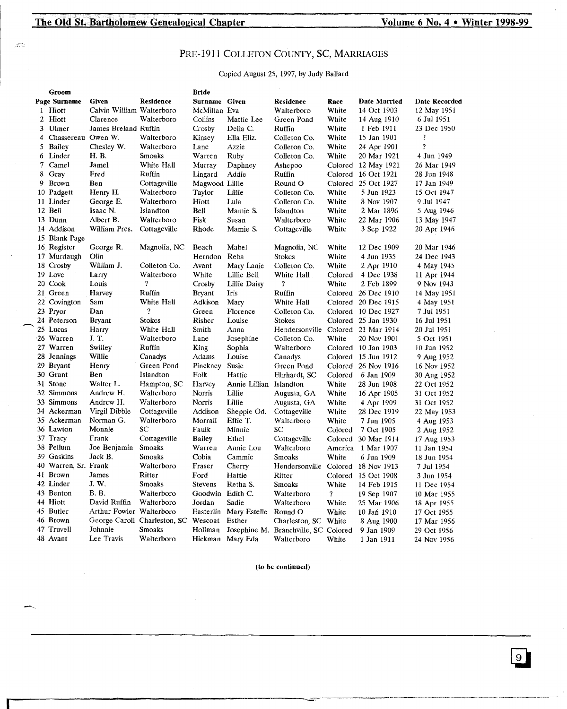The Old St. Bartholomew Genealogical Chapter<br>
Volume 6 No. 4 • Winter 1998-**21 GreenHarvey The Old St. Bar** 48 **The Old St. Barth.**<br>The Old St. Barth.

PRE-1911 COLLETON COUNIY, SC, MARRIAGES

15 Blank Page 16 Register

Copied August 25, 1997, by Judy Ballard Groom

Copied August 25, 1997, by Judy Ballard

|    | Groom                |                           |                                      | Bride          |                         |                                      |         |                     |                      |
|----|----------------------|---------------------------|--------------------------------------|----------------|-------------------------|--------------------------------------|---------|---------------------|----------------------|
|    | Page Surname         | Given                     | Residence                            | Surname Given  |                         | Residence                            | Race    | <b>Date Married</b> | <b>Date Recorded</b> |
|    | 1 Hiott              | Calvin William Walterboro |                                      | McMillan Eva   |                         | Walterboro                           | White   | 14 Oct 1903         | 12 May 1951          |
|    | 2 Hiott              | Clarence                  | Walterboro                           | Collins        | Mattie Lee              | Green Pond                           | White   | 14 Aug 1910         | 6 Jul 1951           |
|    | 3 Ulmer              | James Breland Ruffin      |                                      | Crosby         | Della C.                | Ruffin                               | White   | 1 Feb 1911          | 23 Dec 1950          |
| 4  | Chassereau Owen W.   |                           | Walterboro                           | Kinsey         | Ella Eliz.              | Colleton Co.                         | White   | 15 Jan 1901         | ?                    |
|    | 5 Bailey             | Chesley W.                | Walterboro                           | Lane           | Azzie                   | Colleton Co.                         | White   | 24 Apr 1901         | $\overline{?}$       |
| 6. | Linder               | H. B.                     | Smoaks                               | Warren         | Ruby                    | Colleton Co.                         | White   | 20 Mar 1921         | 4 Jun 1949           |
|    | 7 Camel              | Jamel                     | White Hall                           | Murray         | Daphney                 | Ashepoo                              |         | Colored 12 May 1921 | 26 Mar 1949          |
| 8  | Gray                 | Fred                      | Ruffin                               | Lingard        | Addie                   | Ruffin                               |         | Colored 16 Oct 1921 | 28 Jun 1948          |
|    | 9 Brown              | Ben                       | Cottageville                         | Magwood Lillie |                         | Round O                              |         | Colored 25 Oct 1927 | 17 Jan 1949          |
|    | 10 Padgett           | Henry H.                  | Walterboro                           | Taylor         | Lillie                  | Colleton Co.                         | White   | 5 Jun 1923          | 15 Oct 1947          |
|    | 11 Linder            | George E.                 | Walterboro                           | Hiott          | Lula                    | Colleton Co.                         | White   | 8 Nov 1907          | 9 Jul 1947           |
|    | 12 Bell              | Isaac N.                  | Islandton                            | Bell           | Mamie S.                | Islandton                            | White   | 2 Mar 1896          | 5 Aug 1946           |
|    | 13 Dunn              | Albert B.                 | Walterboro                           | Fisk           | Susan                   | Walterboro                           | White   | 22 Mar 1906         | 13 May 1947          |
|    | 14 Addison           | William Pres.             | Cottageville                         | Rhode          | Mamie S.                | Cottageville                         | White   | 3 Sep 1922          | 20 Apr 1946          |
|    | 15 Blank Page        |                           |                                      |                |                         |                                      |         |                     |                      |
|    | 16 Register          | George R.                 | Magnolia, NC                         | Beach          | Mabel                   | Magnolia, NC                         | White   | 12 Dec 1909         | 20 Mar 1946          |
|    | 17 Murdaugh          | Olin                      |                                      | Herndon        | Reba                    | <b>Stokes</b>                        | White   | 4 Jun 1935          | 24 Dec 1943          |
|    | 18 Crosby            | William J.                | Colleton Co.                         | Avant          | Mary Lanie              | Colleton Co.                         | White   | 2 Apr 1910          | 4 May 1945           |
|    | 19 Love              | Larry                     | Walterboro                           | White          | Lillie Bell             | White Hall                           | Colored | 4 Dec 1938          | 11 Apr 1944          |
|    | 20 Cook              | Louis                     | $\overline{\mathcal{L}}$             | Crosby         | Lillie Daisy            | ?                                    | White   | 2 Feb 1899          | 9 Nov 1943           |
|    | 21 Green             | Harvey                    | Ruffin                               | <b>Bryant</b>  | Iris                    | Ruffin                               |         | Colored 26 Dec 1910 | 14 May 1951          |
|    | 22 Covington         | Sam                       | White Hall                           | Adkison        | Mary                    | White Hall                           |         | Colored 20 Dec 1915 | 4 May 1951           |
|    | 23 Pryor             | Dan                       | ?                                    | Green          | Florence                | Colleton Co.                         |         | Colored 10 Dec 1927 | 7 Jul 1951           |
|    | 24 Peterson          | <b>Bryant</b>             | <b>Stokes</b>                        | Risher         | Louise                  | Stokes                               |         | Colored 25 Jan 1930 | 16 Jul 1951          |
|    | 25 Lucas             | Harry                     | White Hall                           | Smith          | Anna                    | Hendersonville Colored 21 Mar 1914   |         |                     | 20 Jul 1951          |
|    | 26 Warren            | J. T.                     | Walterboro                           | Lane           | Josephine               | Colleton Co.                         | White   | 20 Nov 1901         | 5 Oct 1951           |
|    | 27 Warren            | Swilley                   | Ruffin                               | King           | Sophia                  | Walterboro                           |         | Colored 10 Jan 1903 | 10 Jun 1952          |
|    | 28 Jennings          | Willie                    | Canadys                              | Adams          | Louise                  | Canadys                              |         | Colored 15 Jun 1912 | 9 Aug 1952           |
|    | 29 Bryant            | Henry                     | Green Pond                           | Pinckney       | Susie                   | Green Pond                           |         | Colored 26 Nov 1916 | 16 Nov 1952          |
|    | 30 Grant             | Ben                       | Islandton                            | Folk           | Hattie                  | Ehrhardt, SC                         | Colored | 6 Jan 1909          | 30 Aug 1952          |
|    | 31 Stone             | Walter L.                 | Hampton, SC                          | Harvey         | Annie Lillian Islandton |                                      | White   | 28 Jun 1908         | 22 Oct 1952          |
|    | 32 Simmons           | Andrew H.                 | Walterboro                           | Norris         | Lillie                  | Augusta, GA                          | White   | 16 Apr 1905         | 31 Oct 1952          |
|    | 33 Simmons           | Andrew H.                 | Walterboro                           | Norris         | Lillie                  | Augusta, GA                          | White   | 4 Apr 1909          | 31 Oct 1952          |
|    | 34 Ackerman          | Virgil Dibble             | Cottageville                         | Addison        | Sheppie Od.             | Cottageville                         | White   | 28 Dec 1919         | 22 May 1953          |
|    | 35 Ackerman          | Norman G.                 | Walterboro                           | Morrall        | Effie T.                | Walterboro                           | White   | 7 Jun 1905          | 4 Aug 1953           |
|    | 36 Lawton            | Monnie                    | SC                                   | Faulk          | Minnie                  | SС                                   | Colored | 7 Oct 1905          | 2 Aug 1952           |
|    | 37 Tracy             | Frank                     | Cottageville                         | Bailey         | Ethel                   | Cottageville                         |         | Colored 30 Mar 1914 | 17 Aug 1953          |
|    | 38 Pellum            | Joe Benjamin              | <b>Smoaks</b>                        | Warren         | Annie Lou               | Walterboro                           |         | America 1 Mar 1907  | 11 Jan 1954          |
|    | 39 Gaskins           | Jack B.                   | Smoaks                               | Cobia          | Cammie                  | Smoaks                               | White   | 6 Jun 1909          | 18 Jun 1954          |
|    | 40 Warren, Sr. Frank |                           | Walterboro                           | Fraser         | Cherry                  | Hendersonville Colored 18 Nov 1913   |         |                     | 7 Jul 1954           |
|    | 41 Brown             | James                     | Ritter                               | Ford           | Hattie                  | Ritter                               |         | Colored 15 Oct 1908 | 3 Jun 1954           |
|    | 42 Linder            | J.W.                      | Smoaks                               | <b>Stevens</b> | Retha S.                | Smoaks                               | White   | 14 Feb 1915         | 11 Dec 1954          |
|    | 43 Benton            | B. B.                     | Walterboro                           | Goodwin        | Edith C.                | Walterboro                           | ?       | 19 Sep 1907         | 10 Mar 1955          |
|    | 44 Hiott             | David Ruffin              | Walterboro                           | Jordan         | Sadie                   | Walterboro                           | White   | 25 Mar 1906         | 18 Apr 1955          |
|    | 45 Butler            | Arthur Fowler Walterboro  |                                      | Easterlin      | Mary Estelle            | Round O                              | White   | 10 Jan 1910         | 17 Oct 1955          |
|    | 46 Brown             |                           | George Caroll Charleston, SC Wescoat |                | Esther                  | Charleston, SC White                 |         | 8 Aug 1900          | 17 Mar 1956          |
|    | 47 Truvell           | Johnnie                   | Smoaks                               | Hollman        |                         | Josephine M. Branchville, SC Colored |         | 9 Jan 1909          | 29 Oct 1956          |
|    | 48 Avant             | Lee Travis                | Walterboro                           |                | Hickman Mary Eda        | <b>Walterboro</b>                    | White   | 1 Jan 1911          | 24 Nov 1956          |

#### (to be continued)

--------------------------\_.\_-----------~-----\_ ..•..-\_....\_ ....\_-\_.\_--\_. \_\_ ...\_\_ ..--\_ .....•

| 9 |